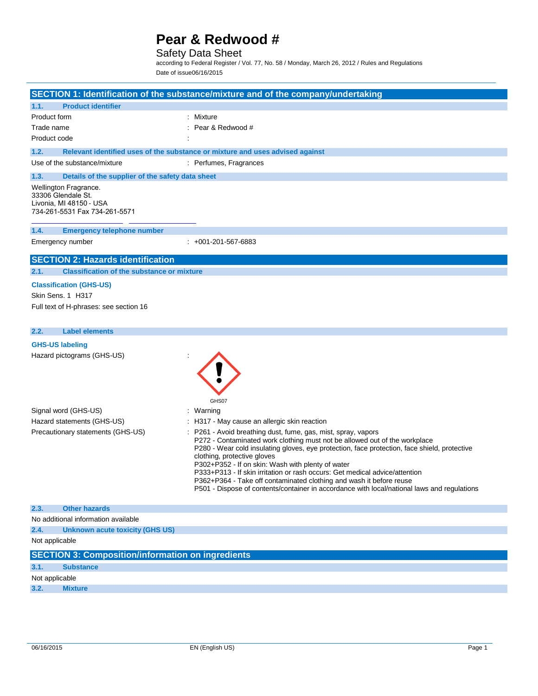### Safety Data Sheet

according to Federal Register / Vol. 77, No. 58 / Monday, March 26, 2012 / Rules and Regulations Date of issue06/16/2015

|                                                                                                         |                                                          | SECTION 1: Identification of the substance/mixture and of the company/undertaking                                                                                                                                                                                                                                                                                                                                                                                                                                                                                                  |
|---------------------------------------------------------------------------------------------------------|----------------------------------------------------------|------------------------------------------------------------------------------------------------------------------------------------------------------------------------------------------------------------------------------------------------------------------------------------------------------------------------------------------------------------------------------------------------------------------------------------------------------------------------------------------------------------------------------------------------------------------------------------|
| 1.1.                                                                                                    | <b>Product identifier</b>                                |                                                                                                                                                                                                                                                                                                                                                                                                                                                                                                                                                                                    |
| Product form                                                                                            |                                                          | Mixture                                                                                                                                                                                                                                                                                                                                                                                                                                                                                                                                                                            |
| Trade name                                                                                              |                                                          | Pear & Redwood #                                                                                                                                                                                                                                                                                                                                                                                                                                                                                                                                                                   |
| Product code                                                                                            |                                                          |                                                                                                                                                                                                                                                                                                                                                                                                                                                                                                                                                                                    |
| 1.2.                                                                                                    |                                                          | Relevant identified uses of the substance or mixture and uses advised against                                                                                                                                                                                                                                                                                                                                                                                                                                                                                                      |
| Use of the substance/mixture                                                                            |                                                          | : Perfumes, Fragrances                                                                                                                                                                                                                                                                                                                                                                                                                                                                                                                                                             |
| 1.3.                                                                                                    | Details of the supplier of the safety data sheet         |                                                                                                                                                                                                                                                                                                                                                                                                                                                                                                                                                                                    |
| Wellington Fragrance.<br>33306 Glendale St.<br>Livonia, MI 48150 - USA<br>734-261-5531 Fax 734-261-5571 |                                                          |                                                                                                                                                                                                                                                                                                                                                                                                                                                                                                                                                                                    |
| 1.4.                                                                                                    | <b>Emergency telephone number</b>                        |                                                                                                                                                                                                                                                                                                                                                                                                                                                                                                                                                                                    |
| Emergency number                                                                                        |                                                          | $: +001 - 201 - 567 - 6883$                                                                                                                                                                                                                                                                                                                                                                                                                                                                                                                                                        |
|                                                                                                         | <b>SECTION 2: Hazards identification</b>                 |                                                                                                                                                                                                                                                                                                                                                                                                                                                                                                                                                                                    |
| 2.1.                                                                                                    | <b>Classification of the substance or mixture</b>        |                                                                                                                                                                                                                                                                                                                                                                                                                                                                                                                                                                                    |
| <b>Classification (GHS-US)</b><br>Skin Sens. 1 H317                                                     | Full text of H-phrases: see section 16                   |                                                                                                                                                                                                                                                                                                                                                                                                                                                                                                                                                                                    |
| 2.2.                                                                                                    | <b>Label elements</b>                                    |                                                                                                                                                                                                                                                                                                                                                                                                                                                                                                                                                                                    |
| <b>GHS-US labeling</b>                                                                                  |                                                          |                                                                                                                                                                                                                                                                                                                                                                                                                                                                                                                                                                                    |
| Hazard pictograms (GHS-US)                                                                              |                                                          | GHS07                                                                                                                                                                                                                                                                                                                                                                                                                                                                                                                                                                              |
| Signal word (GHS-US)                                                                                    |                                                          | : Warning                                                                                                                                                                                                                                                                                                                                                                                                                                                                                                                                                                          |
| Hazard statements (GHS-US)                                                                              |                                                          | H317 - May cause an allergic skin reaction                                                                                                                                                                                                                                                                                                                                                                                                                                                                                                                                         |
|                                                                                                         | Precautionary statements (GHS-US)                        | P261 - Avoid breathing dust, fume, gas, mist, spray, vapors<br>P272 - Contaminated work clothing must not be allowed out of the workplace<br>P280 - Wear cold insulating gloves, eye protection, face protection, face shield, protective<br>clothing, protective gloves<br>P302+P352 - If on skin: Wash with plenty of water<br>P333+P313 - If skin irritation or rash occurs: Get medical advice/attention<br>P362+P364 - Take off contaminated clothing and wash it before reuse<br>P501 - Dispose of contents/container in accordance with local/national laws and regulations |
| 2.3.                                                                                                    | <b>Other hazards</b>                                     |                                                                                                                                                                                                                                                                                                                                                                                                                                                                                                                                                                                    |
| No additional information available                                                                     |                                                          |                                                                                                                                                                                                                                                                                                                                                                                                                                                                                                                                                                                    |
| 2.4.                                                                                                    | <b>Unknown acute toxicity (GHS US)</b>                   |                                                                                                                                                                                                                                                                                                                                                                                                                                                                                                                                                                                    |
| Not applicable                                                                                          |                                                          |                                                                                                                                                                                                                                                                                                                                                                                                                                                                                                                                                                                    |
|                                                                                                         | <b>SECTION 3: Composition/information on ingredients</b> |                                                                                                                                                                                                                                                                                                                                                                                                                                                                                                                                                                                    |
| 3.1.<br><b>Substance</b>                                                                                |                                                          |                                                                                                                                                                                                                                                                                                                                                                                                                                                                                                                                                                                    |
| Not applicable                                                                                          |                                                          |                                                                                                                                                                                                                                                                                                                                                                                                                                                                                                                                                                                    |

**3.2. Mixture**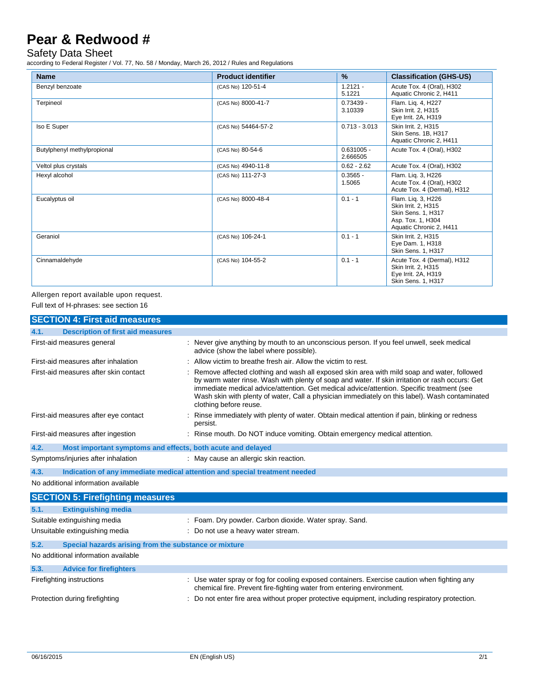### Safety Data Sheet

according to Federal Register / Vol. 77, No. 58 / Monday, March 26, 2012 / Rules and Regulations

| <b>Name</b>                 | <b>Product identifier</b> | $\frac{9}{6}$            | <b>Classification (GHS-US)</b>                                                                                         |
|-----------------------------|---------------------------|--------------------------|------------------------------------------------------------------------------------------------------------------------|
| Benzyl benzoate             | (CAS No) 120-51-4         | $1.2121 -$<br>5.1221     | Acute Tox. 4 (Oral), H302<br>Aquatic Chronic 2, H411                                                                   |
| Terpineol                   | (CAS No) 8000-41-7        | $0.73439 -$<br>3.10339   | Flam. Liq. 4, H227<br>Skin Irrit. 2, H315<br>Eye Irrit. 2A, H319                                                       |
| Iso E Super                 | (CAS No) 54464-57-2       | $0.713 - 3.013$          | Skin Irrit. 2, H315<br>Skin Sens. 1B. H317<br>Aquatic Chronic 2, H411                                                  |
| Butylphenyl methylpropional | (CAS No) 80-54-6          | $0.631005 -$<br>2.666505 | Acute Tox. 4 (Oral), H302                                                                                              |
| Veltol plus crystals        | (CAS No) 4940-11-8        | $0.62 - 2.62$            | Acute Tox. 4 (Oral), H302                                                                                              |
| Hexyl alcohol               | (CAS No) 111-27-3         | $0.3565 -$<br>1.5065     | Flam. Lig. 3, H226<br>Acute Tox. 4 (Oral), H302<br>Acute Tox. 4 (Dermal), H312                                         |
| Eucalyptus oil              | (CAS No) 8000-48-4        | $0.1 - 1$                | Flam. Lig. 3, H226<br>Skin Irrit. 2, H315<br><b>Skin Sens. 1. H317</b><br>Asp. Tox. 1, H304<br>Aquatic Chronic 2, H411 |
| Geraniol                    | (CAS No) 106-24-1         | $0.1 - 1$                | Skin Irrit. 2, H315<br>Eye Dam. 1, H318<br>Skin Sens. 1, H317                                                          |
| Cinnamaldehyde              | (CAS No) 104-55-2         | $0.1 - 1$                | Acute Tox. 4 (Dermal), H312<br>Skin Irrit. 2, H315<br>Eye Irrit. 2A, H319<br>Skin Sens. 1, H317                        |

Allergen report available upon request.

Full text of H-phrases: see section 16

|                                                               | <b>SECTION 4: First aid measures</b>                        |                                                                                                                                                                                                                                                                                                                                                                                                                          |  |  |  |
|---------------------------------------------------------------|-------------------------------------------------------------|--------------------------------------------------------------------------------------------------------------------------------------------------------------------------------------------------------------------------------------------------------------------------------------------------------------------------------------------------------------------------------------------------------------------------|--|--|--|
| 4.1.                                                          | <b>Description of first aid measures</b>                    |                                                                                                                                                                                                                                                                                                                                                                                                                          |  |  |  |
| First-aid measures general                                    |                                                             | : Never give anything by mouth to an unconscious person. If you feel unwell, seek medical<br>advice (show the label where possible).                                                                                                                                                                                                                                                                                     |  |  |  |
| First-aid measures after inhalation                           |                                                             | : Allow victim to breathe fresh air. Allow the victim to rest.                                                                                                                                                                                                                                                                                                                                                           |  |  |  |
| First-aid measures after skin contact                         |                                                             | : Remove affected clothing and wash all exposed skin area with mild soap and water, followed<br>by warm water rinse. Wash with plenty of soap and water. If skin irritation or rash occurs: Get<br>immediate medical advice/attention. Get medical advice/attention. Specific treatment (see<br>Wash skin with plenty of water, Call a physician immediately on this label). Wash contaminated<br>clothing before reuse. |  |  |  |
|                                                               | First-aid measures after eye contact                        | Rinse immediately with plenty of water. Obtain medical attention if pain, blinking or redness<br>persist.                                                                                                                                                                                                                                                                                                                |  |  |  |
|                                                               | First-aid measures after ingestion                          | : Rinse mouth. Do NOT induce vomiting. Obtain emergency medical attention.                                                                                                                                                                                                                                                                                                                                               |  |  |  |
| 4.2.                                                          | Most important symptoms and effects, both acute and delayed |                                                                                                                                                                                                                                                                                                                                                                                                                          |  |  |  |
|                                                               | Symptoms/injuries after inhalation                          | : May cause an allergic skin reaction.                                                                                                                                                                                                                                                                                                                                                                                   |  |  |  |
| 4.3.                                                          |                                                             | Indication of any immediate medical attention and special treatment needed                                                                                                                                                                                                                                                                                                                                               |  |  |  |
|                                                               | No additional information available                         |                                                                                                                                                                                                                                                                                                                                                                                                                          |  |  |  |
|                                                               | <b>SECTION 5: Firefighting measures</b>                     |                                                                                                                                                                                                                                                                                                                                                                                                                          |  |  |  |
| 5.1.                                                          | <b>Extinguishing media</b>                                  |                                                                                                                                                                                                                                                                                                                                                                                                                          |  |  |  |
| Suitable extinguishing media                                  |                                                             | : Foam. Dry powder. Carbon dioxide. Water spray. Sand.                                                                                                                                                                                                                                                                                                                                                                   |  |  |  |
| Unsuitable extinguishing media                                |                                                             | : Do not use a heavy water stream.                                                                                                                                                                                                                                                                                                                                                                                       |  |  |  |
| Special hazards arising from the substance or mixture<br>5.2. |                                                             |                                                                                                                                                                                                                                                                                                                                                                                                                          |  |  |  |
|                                                               | No additional information available                         |                                                                                                                                                                                                                                                                                                                                                                                                                          |  |  |  |
| 5.3.                                                          | <b>Advice for firefighters</b>                              |                                                                                                                                                                                                                                                                                                                                                                                                                          |  |  |  |
| Firefighting instructions                                     |                                                             | : Use water spray or fog for cooling exposed containers. Exercise caution when fighting any<br>chemical fire. Prevent fire-fighting water from entering environment.                                                                                                                                                                                                                                                     |  |  |  |
| Protection during firefighting                                |                                                             | : Do not enter fire area without proper protective equipment, including respiratory protection.                                                                                                                                                                                                                                                                                                                          |  |  |  |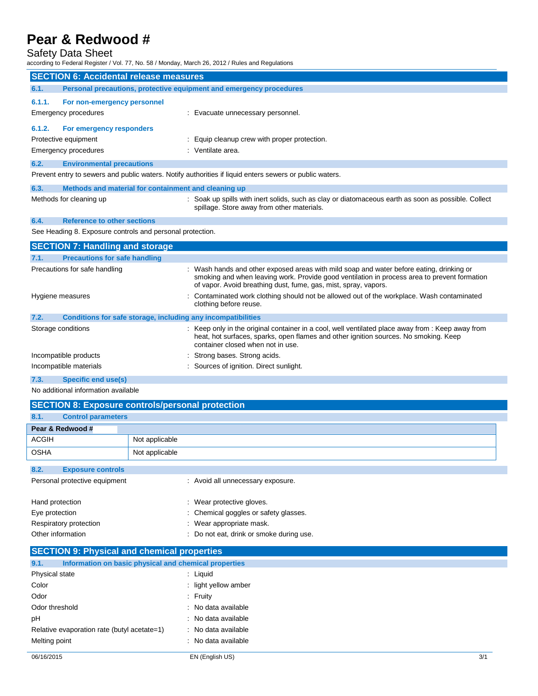### Safety Data Sheet

according to Federal Register / Vol. 77, No. 58 / Monday, March 26, 2012 / Rules and Regulations

|                                                               | iccording to Federal Register / Vol. 77, No. 58 / Monday, March 26, 2012 / Rules and Regulations                        |                                                                                                                                                                                                                                                             |  |  |
|---------------------------------------------------------------|-------------------------------------------------------------------------------------------------------------------------|-------------------------------------------------------------------------------------------------------------------------------------------------------------------------------------------------------------------------------------------------------------|--|--|
| <b>SECTION 6: Accidental release measures</b>                 |                                                                                                                         |                                                                                                                                                                                                                                                             |  |  |
| 6.1.                                                          | Personal precautions, protective equipment and emergency procedures                                                     |                                                                                                                                                                                                                                                             |  |  |
| 6.1.1.<br>For non-emergency personnel<br>Emergency procedures |                                                                                                                         | : Evacuate unnecessary personnel.                                                                                                                                                                                                                           |  |  |
| 6.1.2.<br>For emergency responders<br>Protective equipment    |                                                                                                                         | : Equip cleanup crew with proper protection.                                                                                                                                                                                                                |  |  |
|                                                               | Emergency procedures                                                                                                    | : Ventilate area.                                                                                                                                                                                                                                           |  |  |
| 6.2.                                                          | <b>Environmental precautions</b>                                                                                        |                                                                                                                                                                                                                                                             |  |  |
|                                                               |                                                                                                                         | Prevent entry to sewers and public waters. Notify authorities if liquid enters sewers or public waters.                                                                                                                                                     |  |  |
| 6.3.                                                          | Methods and material for containment and cleaning up                                                                    |                                                                                                                                                                                                                                                             |  |  |
|                                                               | Methods for cleaning up                                                                                                 | : Soak up spills with inert solids, such as clay or diatomaceous earth as soon as possible. Collect<br>spillage. Store away from other materials.                                                                                                           |  |  |
| 6.4.                                                          | <b>Reference to other sections</b>                                                                                      |                                                                                                                                                                                                                                                             |  |  |
|                                                               | See Heading 8. Exposure controls and personal protection.                                                               |                                                                                                                                                                                                                                                             |  |  |
|                                                               | <b>SECTION 7: Handling and storage</b>                                                                                  |                                                                                                                                                                                                                                                             |  |  |
| 7.1.                                                          | <b>Precautions for safe handling</b>                                                                                    |                                                                                                                                                                                                                                                             |  |  |
|                                                               | Precautions for safe handling                                                                                           | : Wash hands and other exposed areas with mild soap and water before eating, drinking or<br>smoking and when leaving work. Provide good ventilation in process area to prevent formation<br>of vapor. Avoid breathing dust, fume, gas, mist, spray, vapors. |  |  |
| Hygiene measures                                              |                                                                                                                         | Contaminated work clothing should not be allowed out of the workplace. Wash contaminated<br>clothing before reuse.                                                                                                                                          |  |  |
| 7.2.                                                          | Conditions for safe storage, including any incompatibilities                                                            |                                                                                                                                                                                                                                                             |  |  |
|                                                               | Storage conditions                                                                                                      | : Keep only in the original container in a cool, well ventilated place away from : Keep away from<br>heat, hot surfaces, sparks, open flames and other ignition sources. No smoking. Keep<br>container closed when not in use.                              |  |  |
|                                                               | Incompatible products                                                                                                   | Strong bases. Strong acids.                                                                                                                                                                                                                                 |  |  |
|                                                               | Incompatible materials                                                                                                  | Sources of ignition. Direct sunlight.                                                                                                                                                                                                                       |  |  |
|                                                               | <b>Construction of the Construction of the Construction of the Construction of the Construction of the Construction</b> |                                                                                                                                                                                                                                                             |  |  |

#### **7.3. Specific end use(s)**

No additional information available

|                                                    | <b>SECTION 8: Exposure controls/personal protection</b> |
|----------------------------------------------------|---------------------------------------------------------|
| 8.1.<br><b>Control parameters</b>                  |                                                         |
| Pear & Redwood #                                   |                                                         |
| <b>ACGIH</b>                                       | Not applicable                                          |
| <b>OSHA</b>                                        | Not applicable                                          |
| 8.2.<br><b>Exposure controls</b>                   |                                                         |
| Personal protective equipment                      | : Avoid all unnecessary exposure.                       |
| Hand protection                                    | : Wear protective gloves.                               |
| Eye protection                                     | : Chemical goggles or safety glasses.                   |
| Respiratory protection                             | : Wear appropriate mask.                                |
| Other information                                  | : Do not eat, drink or smoke during use.                |
| <b>SECTION 9: Physical and chemical properties</b> |                                                         |

| Information on basic physical and chemical properties<br>9.1. |                      |     |
|---------------------------------------------------------------|----------------------|-----|
| Physical state                                                | : Liquid             |     |
| Color                                                         | : light yellow amber |     |
| Odor                                                          | : Fruity             |     |
| Odor threshold                                                | : No data available  |     |
| pH                                                            | : No data available  |     |
| Relative evaporation rate (butyl acetate=1)                   | : No data available  |     |
| Melting point                                                 | : No data available  |     |
| 06/16/2015                                                    | EN (English US)      | 3/1 |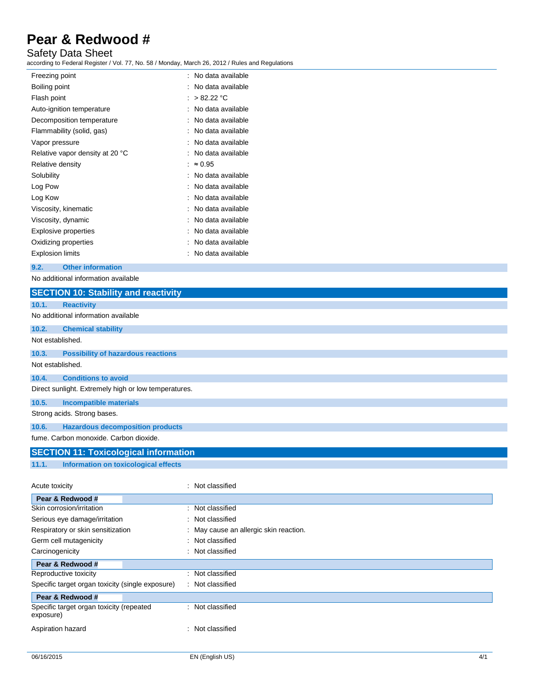### Safety Data Sheet

according to Federal Register / Vol. 77, No. 58 / Monday, March 26, 2012 / Rules and Regulations

| Freezing point                  |   | : No data available |
|---------------------------------|---|---------------------|
| Boiling point                   |   | No data available   |
| Flash point                     |   | > 82.22 °C          |
| Auto-ignition temperature       |   | No data available   |
| Decomposition temperature       |   | No data available   |
| Flammability (solid, gas)       |   | No data available   |
| Vapor pressure                  |   | No data available   |
| Relative vapor density at 20 °C |   | No data available   |
| Relative density                | ۰ | $\approx 0.95$      |
| Solubility                      |   | No data available   |
| Log Pow                         |   | No data available   |
| Log Kow                         |   | No data available   |
| Viscosity, kinematic            |   | No data available   |
| Viscosity, dynamic              |   | No data available   |
| Explosive properties            |   | No data available   |
| Oxidizing properties            |   | No data available   |
| <b>Explosion limits</b>         |   | No data available   |
|                                 |   |                     |

#### **9.2. Other information**

No additional information available

| <b>SECTION 10: Stability and reactivity</b>           |                                      |
|-------------------------------------------------------|--------------------------------------|
| 10.1.<br><b>Reactivity</b>                            |                                      |
| No additional information available                   |                                      |
| 10.2.<br><b>Chemical stability</b>                    |                                      |
| Not established.                                      |                                      |
| 10.3.<br><b>Possibility of hazardous reactions</b>    |                                      |
| Not established.                                      |                                      |
| 10.4.<br><b>Conditions to avoid</b>                   |                                      |
| Direct sunlight. Extremely high or low temperatures.  |                                      |
| 10.5.<br><b>Incompatible materials</b>                |                                      |
| Strong acids. Strong bases.                           |                                      |
| <b>Hazardous decomposition products</b><br>10.6.      |                                      |
| fume. Carbon monoxide. Carbon dioxide.                |                                      |
| <b>SECTION 11: Toxicological information</b>          |                                      |
| 11.1.<br><b>Information on toxicological effects</b>  |                                      |
|                                                       |                                      |
| Acute toxicity                                        | : Not classified                     |
| Pear & Redwood #                                      |                                      |
| Skin corrosion/irritation                             | : Not classified                     |
| Serious eye damage/irritation                         | : Not classified                     |
| Respiratory or skin sensitization                     | May cause an allergic skin reaction. |
| Germ cell mutagenicity                                | Not classified                       |
| Carcinogenicity                                       | Not classified                       |
| Pear & Redwood #                                      |                                      |
| Reproductive toxicity                                 | : Not classified                     |
| Specific target organ toxicity (single exposure)      | : Not classified                     |
| Pear & Redwood #                                      |                                      |
| Specific target organ toxicity (repeated<br>exposure) | : Not classified                     |
| Aspiration hazard                                     | : Not classified                     |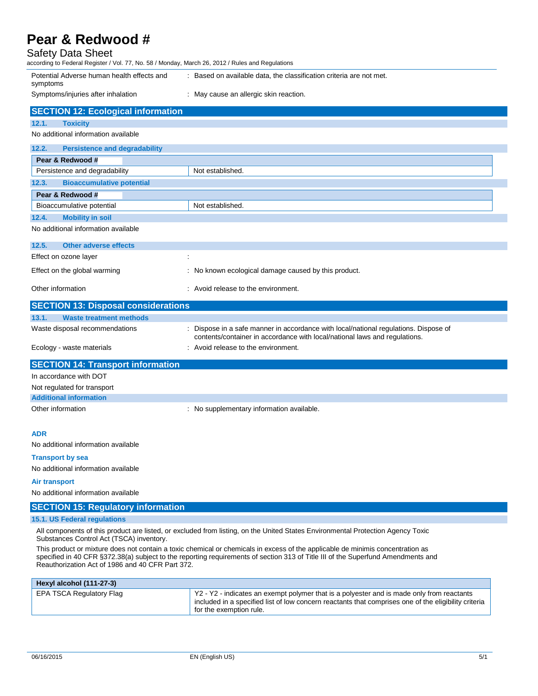### Safety Data Sheet

| according to Federal Register / Vol. 77, No. 58 / Monday, March 26, 2012 / Rules and Regulations |                                                                                                                                                                                                                                                                    |
|--------------------------------------------------------------------------------------------------|--------------------------------------------------------------------------------------------------------------------------------------------------------------------------------------------------------------------------------------------------------------------|
| Potential Adverse human health effects and<br>symptoms                                           | : Based on available data, the classification criteria are not met.                                                                                                                                                                                                |
| Symptoms/injuries after inhalation                                                               | : May cause an allergic skin reaction.                                                                                                                                                                                                                             |
| <b>SECTION 12: Ecological information</b>                                                        |                                                                                                                                                                                                                                                                    |
| 12.1.<br><b>Toxicity</b>                                                                         |                                                                                                                                                                                                                                                                    |
| No additional information available                                                              |                                                                                                                                                                                                                                                                    |
| 12.2.<br><b>Persistence and degradability</b>                                                    |                                                                                                                                                                                                                                                                    |
| Pear & Redwood #                                                                                 |                                                                                                                                                                                                                                                                    |
| Persistence and degradability                                                                    | Not established.                                                                                                                                                                                                                                                   |
| 12.3.<br><b>Bioaccumulative potential</b>                                                        |                                                                                                                                                                                                                                                                    |
| Pear & Redwood #                                                                                 |                                                                                                                                                                                                                                                                    |
| Bioaccumulative potential                                                                        | Not established.                                                                                                                                                                                                                                                   |
| 12.4.<br><b>Mobility in soil</b>                                                                 |                                                                                                                                                                                                                                                                    |
| No additional information available                                                              |                                                                                                                                                                                                                                                                    |
| 12.5.<br><b>Other adverse effects</b>                                                            |                                                                                                                                                                                                                                                                    |
| Effect on ozone layer                                                                            |                                                                                                                                                                                                                                                                    |
| Effect on the global warming                                                                     | : No known ecological damage caused by this product.                                                                                                                                                                                                               |
| Other information                                                                                | : Avoid release to the environment.                                                                                                                                                                                                                                |
| <b>SECTION 13: Disposal considerations</b>                                                       |                                                                                                                                                                                                                                                                    |
| 13.1.<br><b>Waste treatment methods</b>                                                          |                                                                                                                                                                                                                                                                    |
| Waste disposal recommendations                                                                   | Dispose in a safe manner in accordance with local/national regulations. Dispose of<br>contents/container in accordance with local/national laws and regulations.                                                                                                   |
| Ecology - waste materials                                                                        | : Avoid release to the environment.                                                                                                                                                                                                                                |
| <b>SECTION 14: Transport information</b>                                                         |                                                                                                                                                                                                                                                                    |
| In accordance with DOT                                                                           |                                                                                                                                                                                                                                                                    |
| Not regulated for transport                                                                      |                                                                                                                                                                                                                                                                    |
| <b>Additional information</b>                                                                    |                                                                                                                                                                                                                                                                    |
| Other information                                                                                | : No supplementary information available.                                                                                                                                                                                                                          |
| <b>ADR</b>                                                                                       |                                                                                                                                                                                                                                                                    |
| No additional information available                                                              |                                                                                                                                                                                                                                                                    |
| <b>Transport by sea</b>                                                                          |                                                                                                                                                                                                                                                                    |
| No additional information available                                                              |                                                                                                                                                                                                                                                                    |
| Air transport                                                                                    |                                                                                                                                                                                                                                                                    |
| No additional information available                                                              |                                                                                                                                                                                                                                                                    |
| <b>SECTION 15: Regulatory information</b>                                                        |                                                                                                                                                                                                                                                                    |
| 15.1. US Federal regulations                                                                     |                                                                                                                                                                                                                                                                    |
| Substances Control Act (TSCA) inventory.                                                         | All components of this product are listed, or excluded from listing, on the United States Environmental Protection Agency Toxic                                                                                                                                    |
| Reauthorization Act of 1986 and 40 CFR Part 372.                                                 | This product or mixture does not contain a toxic chemical or chemicals in excess of the applicable de minimis concentration as<br>specified in 40 CFR §372.38(a) subject to the reporting requirements of section 313 of Title III of the Superfund Amendments and |

| Hexyl alcohol (111-27-3) |                                                                                                                                                                                                                                      |
|--------------------------|--------------------------------------------------------------------------------------------------------------------------------------------------------------------------------------------------------------------------------------|
| EPA TSCA Regulatory Flag | $\mid$ Y2 - Y2 - indicates an exempt polymer that is a polyester and is made only from reactants<br>included in a specified list of low concern reactants that comprises one of the eligibility criteria<br>'for the exemption rule. |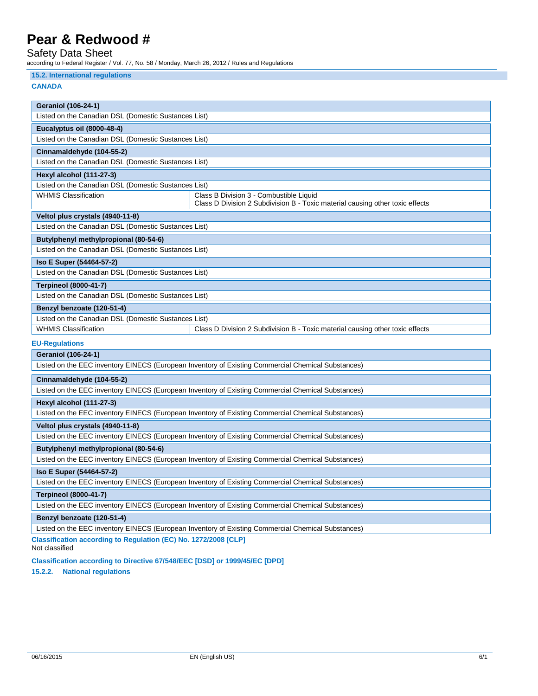## Safety Data Sheet

according to Federal Register / Vol. 77, No. 58 / Monday, March 26, 2012 / Rules and Regulations

#### **15.2. International regulations**

#### **CANADA**

| <b>Geraniol (106-24-1)</b>                                                                         |                                                                                                    |  |  |  |
|----------------------------------------------------------------------------------------------------|----------------------------------------------------------------------------------------------------|--|--|--|
| Listed on the Canadian DSL (Domestic Sustances List)                                               |                                                                                                    |  |  |  |
| Eucalyptus oil (8000-48-4)                                                                         |                                                                                                    |  |  |  |
| Listed on the Canadian DSL (Domestic Sustances List)                                               |                                                                                                    |  |  |  |
| Cinnamaldehyde (104-55-2)                                                                          |                                                                                                    |  |  |  |
| Listed on the Canadian DSL (Domestic Sustances List)                                               |                                                                                                    |  |  |  |
| <b>Hexyl alcohol (111-27-3)</b>                                                                    |                                                                                                    |  |  |  |
| Listed on the Canadian DSL (Domestic Sustances List)                                               |                                                                                                    |  |  |  |
| <b>WHMIS Classification</b>                                                                        | Class B Division 3 - Combustible Liquid                                                            |  |  |  |
|                                                                                                    | Class D Division 2 Subdivision B - Toxic material causing other toxic effects                      |  |  |  |
| Veltol plus crystals (4940-11-8)                                                                   |                                                                                                    |  |  |  |
| Listed on the Canadian DSL (Domestic Sustances List)                                               |                                                                                                    |  |  |  |
| Butylphenyl methylpropional (80-54-6)                                                              |                                                                                                    |  |  |  |
| Listed on the Canadian DSL (Domestic Sustances List)                                               |                                                                                                    |  |  |  |
| Iso E Super (54464-57-2)                                                                           |                                                                                                    |  |  |  |
| Listed on the Canadian DSL (Domestic Sustances List)                                               |                                                                                                    |  |  |  |
| <b>Terpineol (8000-41-7)</b>                                                                       |                                                                                                    |  |  |  |
| Listed on the Canadian DSL (Domestic Sustances List)                                               |                                                                                                    |  |  |  |
| Benzyl benzoate (120-51-4)                                                                         |                                                                                                    |  |  |  |
| Listed on the Canadian DSL (Domestic Sustances List)                                               |                                                                                                    |  |  |  |
| <b>WHMIS Classification</b>                                                                        | Class D Division 2 Subdivision B - Toxic material causing other toxic effects                      |  |  |  |
| <b>EU-Regulations</b>                                                                              |                                                                                                    |  |  |  |
| <b>Geraniol (106-24-1)</b>                                                                         |                                                                                                    |  |  |  |
| Listed on the EEC inventory EINECS (European Inventory of Existing Commercial Chemical Substances) |                                                                                                    |  |  |  |
| Cinnamaldehyde (104-55-2)                                                                          |                                                                                                    |  |  |  |
| Listed on the EEC inventory EINECS (European Inventory of Existing Commercial Chemical Substances) |                                                                                                    |  |  |  |
| Hexyl alcohol (111-27-3)                                                                           |                                                                                                    |  |  |  |
| Listed on the EEC inventory EINECS (European Inventory of Existing Commercial Chemical Substances) |                                                                                                    |  |  |  |
| Veltol plus crystals (4940-11-8)                                                                   |                                                                                                    |  |  |  |
| Listed on the EEC inventory EINECS (European Inventory of Existing Commercial Chemical Substances) |                                                                                                    |  |  |  |
| Butylphenyl methylpropional (80-54-6)                                                              |                                                                                                    |  |  |  |
| Listed on the EEC inventory EINECS (European Inventory of Existing Commercial Chemical Substances) |                                                                                                    |  |  |  |
| Iso E Super (54464-57-2)                                                                           |                                                                                                    |  |  |  |
|                                                                                                    | Listed on the EEC inventory EINECS (European Inventory of Existing Commercial Chemical Substances) |  |  |  |
| <b>Terpineol (8000-41-7)</b>                                                                       |                                                                                                    |  |  |  |
| Listed on the EEC inventory EINECS (European Inventory of Existing Commercial Chemical Substances) |                                                                                                    |  |  |  |
| Benzyl benzoate (120-51-4)                                                                         |                                                                                                    |  |  |  |
|                                                                                                    | Listed on the EEC inventory EINECS (European Inventory of Existing Commercial Chemical Substances) |  |  |  |

**Classification according to Regulation (EC) No. 1272/2008 [CLP]** Not classified

**Classification according to Directive 67/548/EEC [DSD] or 1999/45/EC [DPD]**

**15.2.2. National regulations**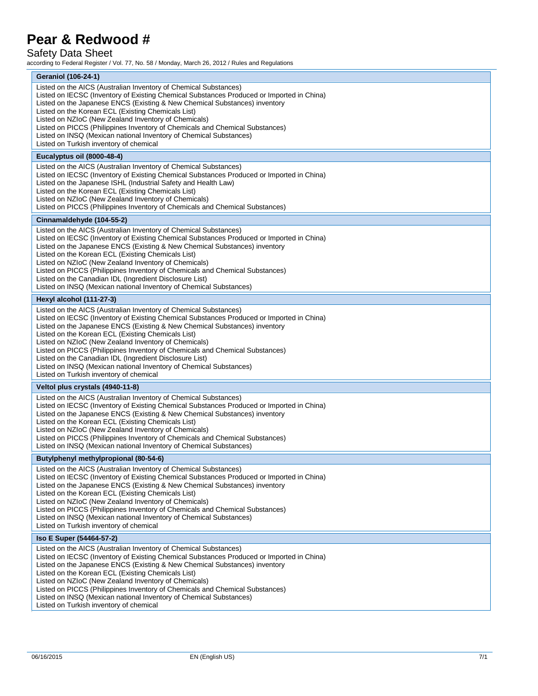### Safety Data Sheet

according to Federal Register / Vol. 77, No. 58 / Monday, March 26, 2012 / Rules and Regulations

| <b>Geraniol (106-24-1)</b>                                                                                                                                              |
|-------------------------------------------------------------------------------------------------------------------------------------------------------------------------|
| Listed on the AICS (Australian Inventory of Chemical Substances)                                                                                                        |
| Listed on IECSC (Inventory of Existing Chemical Substances Produced or Imported in China)                                                                               |
| Listed on the Japanese ENCS (Existing & New Chemical Substances) inventory                                                                                              |
| Listed on the Korean ECL (Existing Chemicals List)<br>Listed on NZIoC (New Zealand Inventory of Chemicals)                                                              |
| Listed on PICCS (Philippines Inventory of Chemicals and Chemical Substances)                                                                                            |
| Listed on INSQ (Mexican national Inventory of Chemical Substances)                                                                                                      |
| Listed on Turkish inventory of chemical                                                                                                                                 |
| Eucalyptus oil (8000-48-4)                                                                                                                                              |
| Listed on the AICS (Australian Inventory of Chemical Substances)                                                                                                        |
| Listed on IECSC (Inventory of Existing Chemical Substances Produced or Imported in China)                                                                               |
| Listed on the Japanese ISHL (Industrial Safety and Health Law)                                                                                                          |
| Listed on the Korean ECL (Existing Chemicals List)                                                                                                                      |
| Listed on NZIoC (New Zealand Inventory of Chemicals)                                                                                                                    |
| Listed on PICCS (Philippines Inventory of Chemicals and Chemical Substances)                                                                                            |
| Cinnamaldehyde (104-55-2)                                                                                                                                               |
| Listed on the AICS (Australian Inventory of Chemical Substances)<br>Listed on IECSC (Inventory of Existing Chemical Substances Produced or Imported in China)           |
| Listed on the Japanese ENCS (Existing & New Chemical Substances) inventory                                                                                              |
| Listed on the Korean ECL (Existing Chemicals List)                                                                                                                      |
| Listed on NZIoC (New Zealand Inventory of Chemicals)                                                                                                                    |
| Listed on PICCS (Philippines Inventory of Chemicals and Chemical Substances)                                                                                            |
| Listed on the Canadian IDL (Ingredient Disclosure List)                                                                                                                 |
| Listed on INSQ (Mexican national Inventory of Chemical Substances)                                                                                                      |
| Hexyl alcohol (111-27-3)                                                                                                                                                |
| Listed on the AICS (Australian Inventory of Chemical Substances)                                                                                                        |
| Listed on IECSC (Inventory of Existing Chemical Substances Produced or Imported in China)<br>Listed on the Japanese ENCS (Existing & New Chemical Substances) inventory |
| Listed on the Korean ECL (Existing Chemicals List)                                                                                                                      |
| Listed on NZIoC (New Zealand Inventory of Chemicals)                                                                                                                    |
| Listed on PICCS (Philippines Inventory of Chemicals and Chemical Substances)                                                                                            |
| Listed on the Canadian IDL (Ingredient Disclosure List)                                                                                                                 |
| Listed on INSQ (Mexican national Inventory of Chemical Substances)<br>Listed on Turkish inventory of chemical                                                           |
|                                                                                                                                                                         |
| Veltol plus crystals (4940-11-8)                                                                                                                                        |
| Listed on the AICS (Australian Inventory of Chemical Substances)<br>Listed on IECSC (Inventory of Existing Chemical Substances Produced or Imported in China)           |
| Listed on the Japanese ENCS (Existing & New Chemical Substances) inventory                                                                                              |
| Listed on the Korean ECL (Existing Chemicals List)                                                                                                                      |
| Listed on NZIoC (New Zealand Inventory of Chemicals)                                                                                                                    |
| Listed on PICCS (Philippines Inventory of Chemicals and Chemical Substances)                                                                                            |
| Listed on INSQ (Mexican national Inventory of Chemical Substances)                                                                                                      |
| Butylphenyl methylpropional (80-54-6)                                                                                                                                   |
| Listed on the AICS (Australian Inventory of Chemical Substances)                                                                                                        |
| Listed on IECSC (Inventory of Existing Chemical Substances Produced or Imported in China)<br>Listed on the Japanese ENCS (Existing & New Chemical Substances) inventory |
| Listed on the Korean ECL (Existing Chemicals List)                                                                                                                      |
| Listed on NZIoC (New Zealand Inventory of Chemicals)                                                                                                                    |
| Listed on PICCS (Philippines Inventory of Chemicals and Chemical Substances)                                                                                            |
| Listed on INSQ (Mexican national Inventory of Chemical Substances)                                                                                                      |
| Listed on Turkish inventory of chemical                                                                                                                                 |
| Iso E Super (54464-57-2)                                                                                                                                                |
| Listed on the AICS (Australian Inventory of Chemical Substances)                                                                                                        |
| Listed on IECSC (Inventory of Existing Chemical Substances Produced or Imported in China)<br>Listed on the Japanese ENCS (Existing & New Chemical Substances) inventory |
| Listed on the Korean ECL (Existing Chemicals List)                                                                                                                      |
| Listed on NZIoC (New Zealand Inventory of Chemicals)                                                                                                                    |
| Listed on PICCS (Philippines Inventory of Chemicals and Chemical Substances)                                                                                            |
| Listed on INSQ (Mexican national Inventory of Chemical Substances)                                                                                                      |
| Listed on Turkish inventory of chemical                                                                                                                                 |
|                                                                                                                                                                         |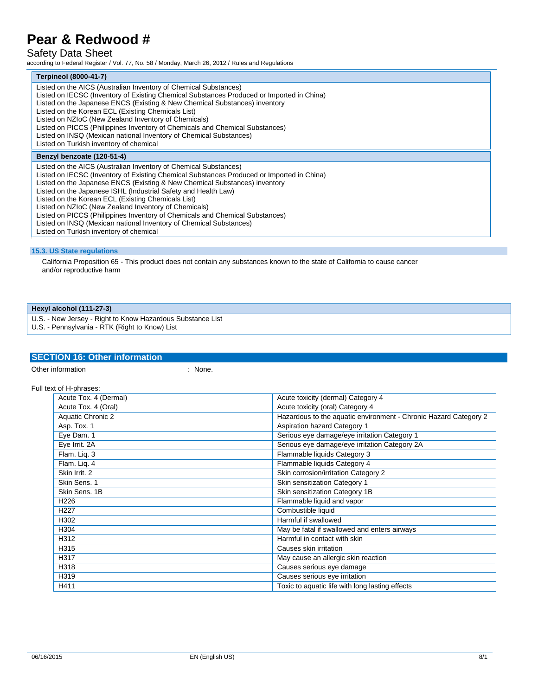## Safety Data Sheet

according to Federal Register / Vol. 77, No. 58 / Monday, March 26, 2012 / Rules and Regulations

### **Terpineol (8000-41-7)**

| 1 erpineoi (8000-41-7)                                                                                                                                                                                                                                                                                                                                                                                                                                                                                                                                                                                                       |
|------------------------------------------------------------------------------------------------------------------------------------------------------------------------------------------------------------------------------------------------------------------------------------------------------------------------------------------------------------------------------------------------------------------------------------------------------------------------------------------------------------------------------------------------------------------------------------------------------------------------------|
| Listed on the AICS (Australian Inventory of Chemical Substances)<br>Listed on IECSC (Inventory of Existing Chemical Substances Produced or Imported in China)<br>Listed on the Japanese ENCS (Existing & New Chemical Substances) inventory<br>Listed on the Korean ECL (Existing Chemicals List)<br>Listed on NZIoC (New Zealand Inventory of Chemicals)<br>Listed on PICCS (Philippines Inventory of Chemicals and Chemical Substances)<br>Listed on INSQ (Mexican national Inventory of Chemical Substances)<br>Listed on Turkish inventory of chemical                                                                   |
| Benzyl benzoate (120-51-4)                                                                                                                                                                                                                                                                                                                                                                                                                                                                                                                                                                                                   |
| Listed on the AICS (Australian Inventory of Chemical Substances)<br>Listed on IECSC (Inventory of Existing Chemical Substances Produced or Imported in China)<br>Listed on the Japanese ENCS (Existing & New Chemical Substances) inventory<br>Listed on the Japanese ISHL (Industrial Safety and Health Law)<br>Listed on the Korean ECL (Existing Chemicals List)<br>Listed on NZIoC (New Zealand Inventory of Chemicals)<br>Listed on PICCS (Philippines Inventory of Chemicals and Chemical Substances)<br>Listed on INSQ (Mexican national Inventory of Chemical Substances)<br>Listed on Turkish inventory of chemical |

#### **15.3. US State regulations**

California Proposition 65 - This product does not contain any substances known to the state of California to cause cancer and/or reproductive harm

#### **Hexyl alcohol (111-27-3)**

U.S. - New Jersey - Right to Know Hazardous Substance List

U.S. - Pennsylvania - RTK (Right to Know) List

### **SECTION 16: Other information**

Other information  $\blacksquare$  : None.

Full text of H-phrases:

| Acute Tox. 4 (Dermal) | Acute toxicity (dermal) Category 4                               |
|-----------------------|------------------------------------------------------------------|
| Acute Tox. 4 (Oral)   | Acute toxicity (oral) Category 4                                 |
| Aquatic Chronic 2     | Hazardous to the aquatic environment - Chronic Hazard Category 2 |
| Asp. Tox. 1           | Aspiration hazard Category 1                                     |
| Eye Dam. 1            | Serious eye damage/eye irritation Category 1                     |
| Eye Irrit. 2A         | Serious eye damage/eye irritation Category 2A                    |
| Flam. Lig. 3          | Flammable liquids Category 3                                     |
| Flam. Lig. 4          | Flammable liquids Category 4                                     |
| Skin Irrit. 2         | Skin corrosion/irritation Category 2                             |
| Skin Sens. 1          | Skin sensitization Category 1                                    |
| Skin Sens, 1B         | Skin sensitization Category 1B                                   |
| H <sub>226</sub>      | Flammable liquid and vapor                                       |
| H <sub>22</sub> 7     | Combustible liquid                                               |
| H302                  | Harmful if swallowed                                             |
| H304                  | May be fatal if swallowed and enters airways                     |
| H312                  | Harmful in contact with skin                                     |
| H315                  | Causes skin irritation                                           |
| H317                  | May cause an allergic skin reaction                              |
| H318                  | Causes serious eye damage                                        |
| H319                  | Causes serious eye irritation                                    |
| H411                  | Toxic to aquatic life with long lasting effects                  |